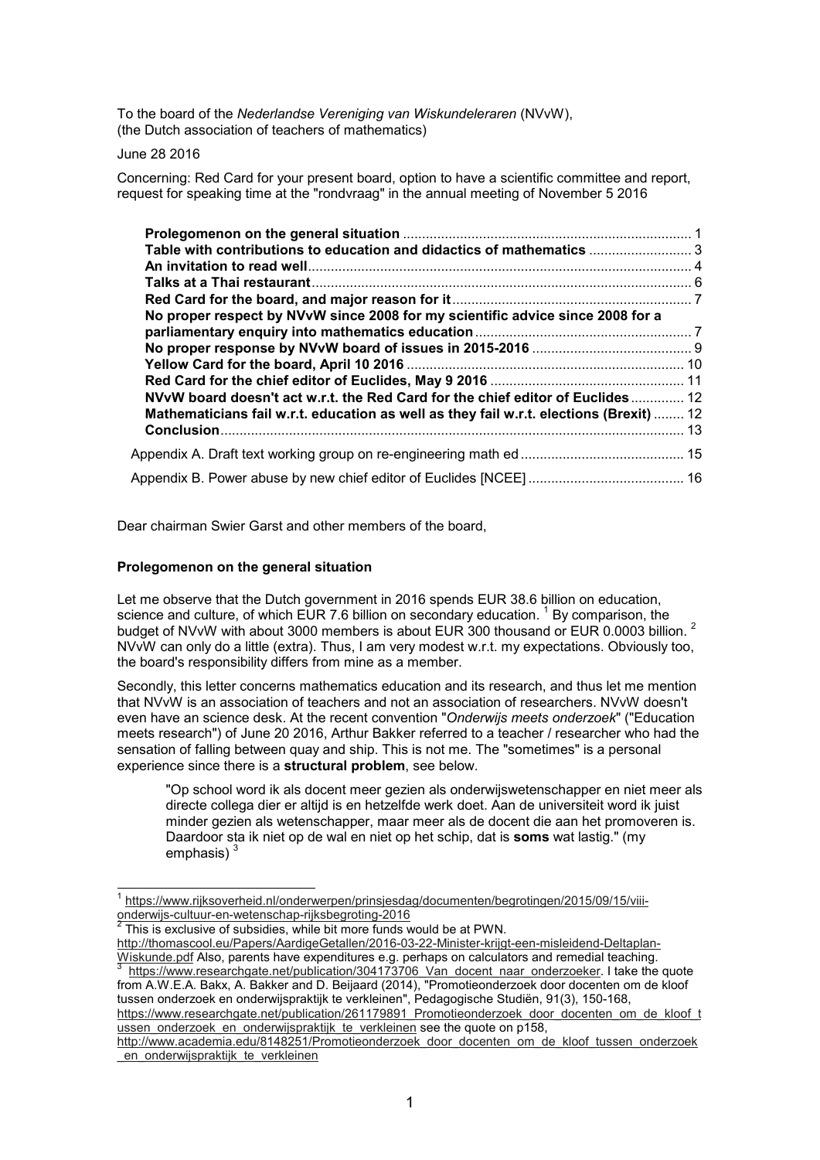To the board of the *Nederlandse Vereniging van Wiskundeleraren* (NVvW), (the Dutch association of teachers of mathematics)

June 28 2016

 $\overline{a}$ 

Concerning: Red Card for your present board, option to have a scientific committee and report, request for speaking time at the "rondvraag" in the annual meeting of November 5 2016

| Table with contributions to education and didactics of mathematics  3<br>No proper respect by NVvW since 2008 for my scientific advice since 2008 for a<br>NVvW board doesn't act w.r.t. the Red Card for the chief editor of Euclides 12<br>Mathematicians fail w.r.t. education as well as they fail w.r.t. elections (Brexit)  12 |  |
|--------------------------------------------------------------------------------------------------------------------------------------------------------------------------------------------------------------------------------------------------------------------------------------------------------------------------------------|--|
|                                                                                                                                                                                                                                                                                                                                      |  |
|                                                                                                                                                                                                                                                                                                                                      |  |
|                                                                                                                                                                                                                                                                                                                                      |  |

Dear chairman Swier Garst and other members of the board,

## **Prolegomenon on the general situation**

Let me observe that the Dutch government in 2016 spends EUR 38.6 billion on education, science and culture, of which EUR 7.6 billion on secondary education.  $^1$  By comparison, the budget of NVvW with about 3000 members is about EUR 300 thousand or EUR 0.0003 billion.<sup>2</sup> NVvW can only do a little (extra). Thus, I am very modest w.r.t. my expectations. Obviously too, the board's responsibility differs from mine as a member.

Secondly, this letter concerns mathematics education and its research, and thus let me mention that NVvW is an association of teachers and not an association of researchers. NVvW doesn't even have an science desk. At the recent convention "*Onderwijs meets onderzoek*" ("Education meets research") of June 20 2016, Arthur Bakker referred to a teacher / researcher who had the sensation of falling between quay and ship. This is not me. The "sometimes" is a personal experience since there is a **structural problem**, see below.

"Op school word ik als docent meer gezien als onderwijswetenschapper en niet meer als directe collega dier er altijd is en hetzelfde werk doet. Aan de universiteit word ik juist minder gezien als wetenschapper, maar meer als de docent die aan het promoveren is. Daardoor sta ik niet op de wal en niet op het schip, dat is **soms** wat lastig." (my emphasis) $3$ 

This is exclusive of subsidies, while bit more funds would be at PWN.

http://thomascool.eu/Papers/AardigeGetallen/2016-03-22-Minister-krijgt-een-misleidend-Deltaplan-Wiskunde.pdf Also, parents have expenditures e.g. perhaps on calculators and remedial teaching.<br>3. https://www.researchaste.pet/publication/204473706. Ven. desept.pear.opderzeeker. Lteke the https://www.researchgate.net/publication/304173706 Van docent\_naar\_onderzoeker. I take the quote

from A.W.E.A. Bakx, A. Bakker and D. Beijaard (2014), "Promotieonderzoek door docenten om de kloof tussen onderzoek en onderwijspraktijk te verkleinen", Pedagogische Studiën, 91(3), 150-168, https://www.researchgate.net/publication/261179891\_Promotieonderzoek\_door\_docenten\_om\_de\_kloof\_t

ussen\_onderzoek\_en\_onderwijspraktijk\_te\_verkleinen see the quote on p158,

<sup>1</sup> https://www.rijksoverheid.nl/onderwerpen/prinsjesdag/documenten/begrotingen/2015/09/15/viiionderwijs-cultuur-en-wetenschap-rijksbegroting-2016<br><sup>2</sup> Thie is avelusive of subsidies, while bit mere funde v

http://www.academia.edu/8148251/Promotieonderzoek\_door\_docenten\_om\_de\_kloof\_tussen\_onderzoek en onderwijspraktijk te verkleinen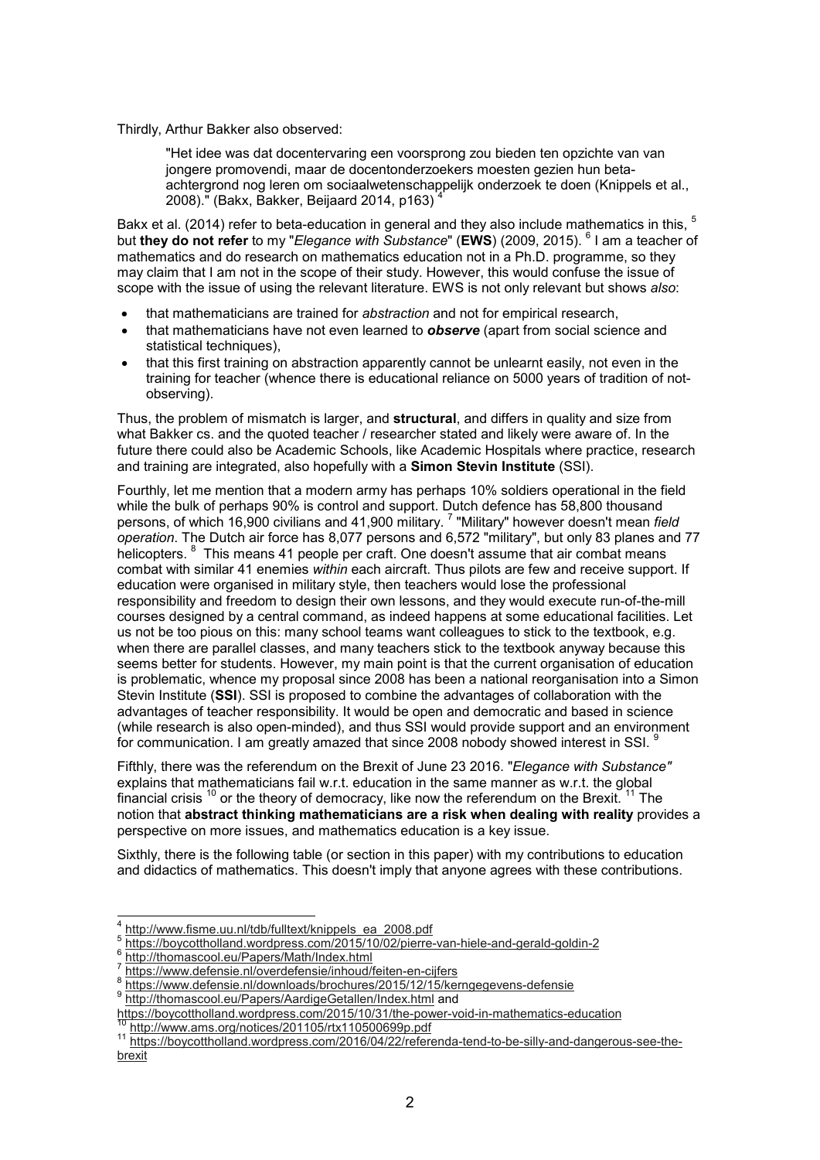#### Thirdly, Arthur Bakker also observed:

"Het idee was dat docentervaring een voorsprong zou bieden ten opzichte van van jongere promovendi, maar de docentonderzoekers moesten gezien hun betaachtergrond nog leren om sociaalwetenschappelijk onderzoek te doen (Knippels et al., 2008)." (Bakx, Bakker, Beijaard 2014, p163) <sup>4</sup>

Bakx et al. (2014) refer to beta-education in general and they also include mathematics in this, <sup>5</sup> but **they do not refer** to my "*Elegance with Substance*" (EWS) (2009, 2015).  $^6$  I am a teacher of mathematics and do research on mathematics education not in a Ph.D. programme, so they may claim that I am not in the scope of their study. However, this would confuse the issue of scope with the issue of using the relevant literature. EWS is not only relevant but shows *also*:

- that mathematicians are trained for *abstraction* and not for empirical research,
- that mathematicians have not even learned to *observe* (apart from social science and statistical techniques),
- that this first training on abstraction apparently cannot be unlearnt easily, not even in the training for teacher (whence there is educational reliance on 5000 years of tradition of notobserving).

Thus, the problem of mismatch is larger, and **structural**, and differs in quality and size from what Bakker cs. and the quoted teacher / researcher stated and likely were aware of. In the future there could also be Academic Schools, like Academic Hospitals where practice, research and training are integrated, also hopefully with a **Simon Stevin Institute** (SSI).

Fourthly, let me mention that a modern army has perhaps 10% soldiers operational in the field while the bulk of perhaps 90% is control and support. Dutch defence has 58,800 thousand persons, of which 16,900 civilians and 41,900 military. <sup>7</sup> "Military" however doesn't mean *field operation*. The Dutch air force has 8,077 persons and 6,572 "military", but only 83 planes and 77 helicopters. <sup>8</sup> This means 41 people per craft. One doesn't assume that air combat means combat with similar 41 enemies *within* each aircraft. Thus pilots are few and receive support. If education were organised in military style, then teachers would lose the professional responsibility and freedom to design their own lessons, and they would execute run-of-the-mill courses designed by a central command, as indeed happens at some educational facilities. Let us not be too pious on this: many school teams want colleagues to stick to the textbook, e.g. when there are parallel classes, and many teachers stick to the textbook anyway because this seems better for students. However, my main point is that the current organisation of education is problematic, whence my proposal since 2008 has been a national reorganisation into a Simon Stevin Institute (**SSI**). SSI is proposed to combine the advantages of collaboration with the advantages of teacher responsibility. It would be open and democratic and based in science (while research is also open-minded), and thus SSI would provide support and an environment for communication. I am greatly amazed that since 2008 nobody showed interest in SSI.

Fifthly, there was the referendum on the Brexit of June 23 2016. "*Elegance with Substance"* explains that mathematicians fail w.r.t. education in the same manner as w.r.t. the global financial crisis  $10$  or the theory of democracy, like now the referendum on the Brexit.  $11$  The notion that **abstract thinking mathematicians are a risk when dealing with reality** provides a perspective on more issues, and mathematics education is a key issue.

Sixthly, there is the following table (or section in this paper) with my contributions to education and didactics of mathematics. This doesn't imply that anyone agrees with these contributions.

 4 http://www.fisme.uu.nl/tdb/fulltext/knippels\_ea\_2008.pdf

<sup>5</sup> https://boycottholland.wordpress.com/2015/10/02/pierre-van-hiele-and-gerald-goldin-2

<sup>6</sup> http://thomascool.eu/Papers/Math/Index.html

<sup>7</sup> https://www.defensie.nl/overdefensie/inhoud/feiten-en-cijfers

<sup>8</sup> https://www.defensie.nl/downloads/brochures/2015/12/15/kerngegevens-defensie<br>9 http://themaseeel.eu/Penere/AerdiaeCetallen/Indox.html.ond

http://thomascool.eu/Papers/AardigeGetallen/Index.html and

https://boycottholland.wordpress.com/2015/10/31/the-power-void-in-mathematics-education

http://www.ams.org/notices/201105/rtx110500699p.pdf

<sup>11</sup> https://boycottholland.wordpress.com/2016/04/22/referenda-tend-to-be-silly-and-dangerous-see-thebrexit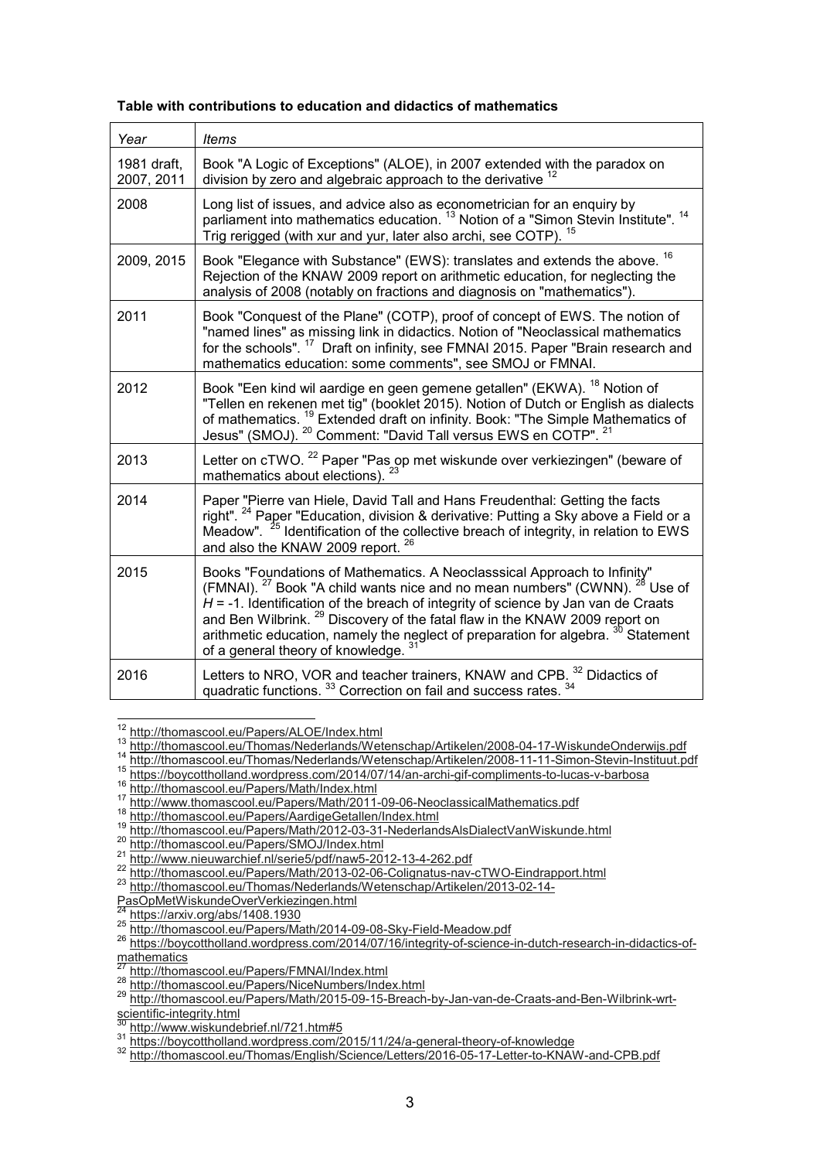|  |  | Table with contributions to education and didactics of mathematics |
|--|--|--------------------------------------------------------------------|
|  |  |                                                                    |

| Year                      | <b>Items</b>                                                                                                                                                                                                                                                                                                                                                                                                                                                                                            |
|---------------------------|---------------------------------------------------------------------------------------------------------------------------------------------------------------------------------------------------------------------------------------------------------------------------------------------------------------------------------------------------------------------------------------------------------------------------------------------------------------------------------------------------------|
| 1981 draft,<br>2007, 2011 | Book "A Logic of Exceptions" (ALOE), in 2007 extended with the paradox on<br>division by zero and algebraic approach to the derivative <sup>12</sup>                                                                                                                                                                                                                                                                                                                                                    |
| 2008                      | Long list of issues, and advice also as econometrician for an enquiry by<br>parliament into mathematics education. <sup>13</sup> Notion of a "Simon Stevin Institute". <sup>14</sup><br>Trig rerigged (with xur and yur, later also archi, see COTP). <sup>15</sup>                                                                                                                                                                                                                                     |
| 2009, 2015                | Book "Elegance with Substance" (EWS): translates and extends the above. <sup>16</sup><br>Rejection of the KNAW 2009 report on arithmetic education, for neglecting the<br>analysis of 2008 (notably on fractions and diagnosis on "mathematics").                                                                                                                                                                                                                                                       |
| 2011                      | Book "Conquest of the Plane" (COTP), proof of concept of EWS. The notion of<br>"named lines" as missing link in didactics. Notion of "Neoclassical mathematics<br>for the schools". <sup>17</sup> Draft on infinity, see FMNAI 2015. Paper "Brain research and<br>mathematics education: some comments", see SMOJ or FMNAI.                                                                                                                                                                             |
| 2012                      | Book "Een kind wil aardige en geen gemene getallen" (EKWA). <sup>18</sup> Notion of<br>"Tellen en rekenen met tig" (booklet 2015). Notion of Dutch or English as dialects<br>of mathematics. <sup>19</sup> Extended draft on infinity. Book: "The Simple Mathematics of<br>Jesus" (SMOJ). <sup>20</sup> Comment: "David Tall versus EWS en COTP". <sup>21</sup>                                                                                                                                         |
| 2013                      | Letter on cTWO. <sup>22</sup> Paper "Pas op met wiskunde over verkiezingen" (beware of<br>mathematics about elections). 23                                                                                                                                                                                                                                                                                                                                                                              |
| 2014                      | Paper "Pierre van Hiele, David Tall and Hans Freudenthal: Getting the facts<br>right". <sup>24</sup> Paper "Education, division & derivative: Putting a Sky above a Field or a<br>Meadow". <sup>25</sup> Identification of the collective breach of integrity, in relation to EWS<br>and also the KNAW 2009 report. <sup>26</sup>                                                                                                                                                                       |
| 2015                      | Books "Foundations of Mathematics. A Neoclasssical Approach to Infinity"<br>(FMNAI). <sup>27</sup> Book "A child wants nice and no mean numbers" (CWNN). <sup>28</sup> Use of<br>$H = -1$ . Identification of the breach of integrity of science by Jan van de Craats<br>and Ben Wilbrink. <sup>29</sup> Discovery of the fatal flaw in the KNAW 2009 report on<br>arithmetic education, namely the neglect of preparation for algebra. <sup>30</sup> Statement<br>of a general theory of knowledge. 31 |
| 2016                      | Letters to NRO, VOR and teacher trainers, KNAW and CPB. 32 Didactics of<br>quadratic functions. 33 Correction on fail and success rates. 34                                                                                                                                                                                                                                                                                                                                                             |

 $\overline{a}$ <sup>12</sup> http://thomascool.eu/Papers/ALOE/Index.html

 $\frac{13}{14}$  http://thomascool.eu/Thomas/Nederlands/Wetenschap/Artikelen/2008-04-17-WiskundeOnderwijs.pdf<br> $\frac{14 \text{ http://thomascool.eu/Thomas/Mederlande/Metencaban/Artikelen/2008-44-44. Cimeon Struin Institut n}}{14 \text{ http://thomascool.eu/Thomas/Mederlande/Metencaban/Artikelen/2008-44-44. Cimeon Struin Institut n}}$ 

http://thomascool.eu/Thomas/Nederlands/Wetenschap/Artikelen/2008-11-11-Simon-Stevin-Instituut.pdf

<sup>15</sup> https://boycottholland.wordpress.com/2014/07/14/an-archi-gif-compliments-to-lucas-v-barbosa

<sup>16</sup> http://thomascool.eu/Papers/Math/Index.html

<sup>17</sup> http://www.thomascool.eu/Papers/Math/2011-09-06-NeoclassicalMathematics.pdf

<sup>18</sup> http://thomascool.eu/Papers/AardigeGetallen/Index.html

<sup>19</sup> http://thomascool.eu/Papers/Math/2012-03-31-NederlandsAlsDialectVanWiskunde.html

<sup>20</sup> http://thomascool.eu/Papers/SMOJ/Index.html

<sup>&</sup>lt;sup>21</sup> http://www.nieuwarchief.nl/serie5/pdf/naw5-2012-13-4-262.pdf

<sup>22</sup> http://thomascool.eu/Papers/Math/2013-02-06-Colignatus-nav-cTWO-Eindrapport.html

<sup>23</sup> http://thomascool.eu/Thomas/Nederlands/Wetenschap/Artikelen/2013-02-14-

PasOpMetWiskundeOverVerkiezingen.html

https://arxiv.org/abs/1408.1930

<sup>25</sup> http://thomascool.eu/Papers/Math/2014-09-08-Sky-Field-Meadow.pdf

<sup>26</sup> https://boycottholland.wordpress.com/2014/07/16/integrity-of-science-in-dutch-research-in-didactics-ofmathematics

http://thomascool.eu/Papers/FMNAI/Index.html

<sup>28</sup> http://thomascool.eu/Papers/NiceNumbers/Index.html

<sup>29</sup> http://thomascool.eu/Papers/Math/2015-09-15-Breach-by-Jan-van-de-Craats-and-Ben-Wilbrink-wrtscientific-integrity.html

http://www.wiskundebrief.nl/721.htm#5

<sup>31</sup> https://boycottholland.wordpress.com/2015/11/24/a-general-theory-of-knowledge

<sup>32</sup> http://thomascool.eu/Thomas/English/Science/Letters/2016-05-17-Letter-to-KNAW-and-CPB.pdf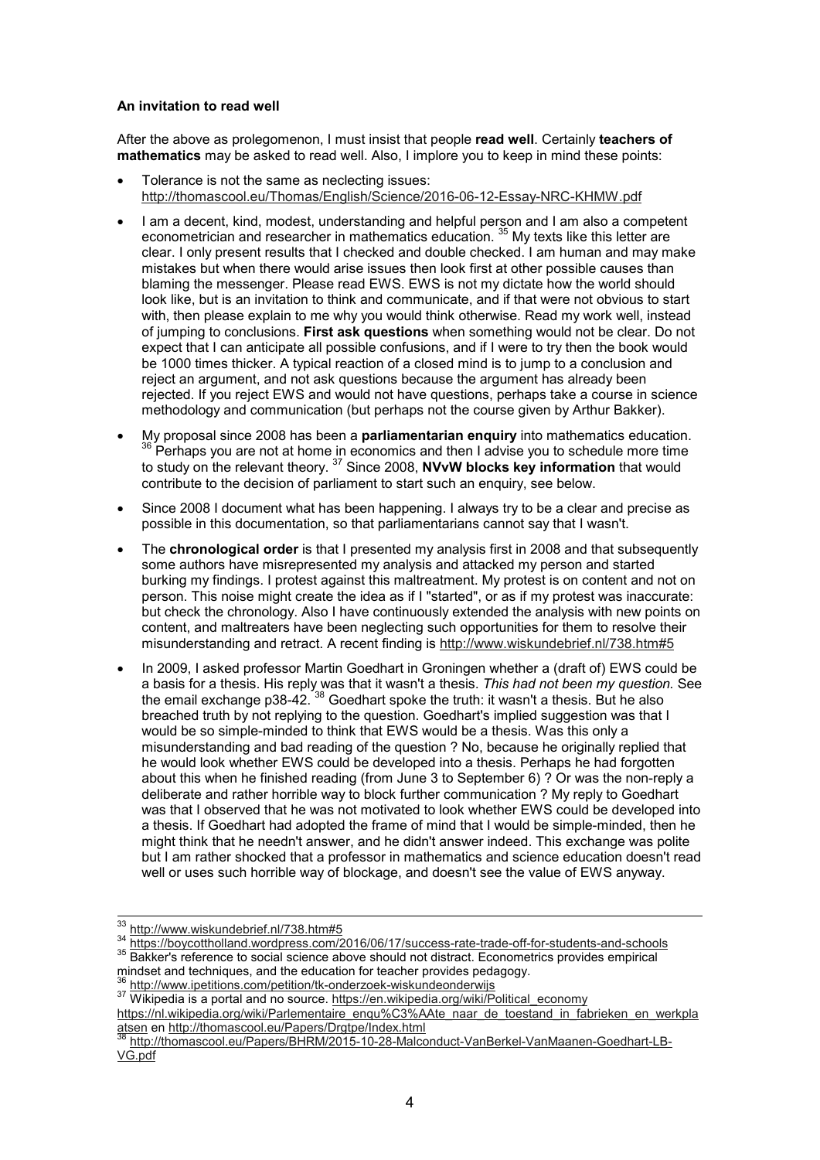## **An invitation to read well**

After the above as prolegomenon, I must insist that people **read well**. Certainly **teachers of mathematics** may be asked to read well. Also, I implore you to keep in mind these points:

- Tolerance is not the same as neclecting issues: http://thomascool.eu/Thomas/English/Science/2016-06-12-Essay-NRC-KHMW.pdf
- I am a decent, kind, modest, understanding and helpful person and I am also a competent econometrician and researcher in mathematics education.<sup>35</sup> My texts like this letter are clear. I only present results that I checked and double checked. I am human and may make mistakes but when there would arise issues then look first at other possible causes than blaming the messenger. Please read EWS. EWS is not my dictate how the world should look like, but is an invitation to think and communicate, and if that were not obvious to start with, then please explain to me why you would think otherwise. Read my work well, instead of jumping to conclusions. **First ask questions** when something would not be clear. Do not expect that I can anticipate all possible confusions, and if I were to try then the book would be 1000 times thicker. A typical reaction of a closed mind is to jump to a conclusion and reject an argument, and not ask questions because the argument has already been rejected. If you reject EWS and would not have questions, perhaps take a course in science methodology and communication (but perhaps not the course given by Arthur Bakker).
- My proposal since 2008 has been a **parliamentarian enquiry** into mathematics education.  $36$  Perhaps you are not at home in economics and then I advise you to schedule more time to study on the relevant theory. <sup>37</sup> Since 2008, **NVvW blocks key information** that would contribute to the decision of parliament to start such an enquiry, see below.
- Since 2008 I document what has been happening. I always try to be a clear and precise as possible in this documentation, so that parliamentarians cannot say that I wasn't.
- The **chronological order** is that I presented my analysis first in 2008 and that subsequently some authors have misrepresented my analysis and attacked my person and started burking my findings. I protest against this maltreatment. My protest is on content and not on person. This noise might create the idea as if I "started", or as if my protest was inaccurate: but check the chronology. Also I have continuously extended the analysis with new points on content, and maltreaters have been neglecting such opportunities for them to resolve their misunderstanding and retract. A recent finding is http://www.wiskundebrief.nl/738.htm#5
- In 2009, I asked professor Martin Goedhart in Groningen whether a (draft of) EWS could be a basis for a thesis. His reply was that it wasn't a thesis. *This had not been my question.* See the email exchange p38-42.  $38$  Goedhart spoke the truth: it wasn't a thesis. But he also breached truth by not replying to the question. Goedhart's implied suggestion was that I would be so simple-minded to think that EWS would be a thesis. Was this only a misunderstanding and bad reading of the question ? No, because he originally replied that he would look whether EWS could be developed into a thesis. Perhaps he had forgotten about this when he finished reading (from June 3 to September 6) ? Or was the non-reply a deliberate and rather horrible way to block further communication ? My reply to Goedhart was that I observed that he was not motivated to look whether EWS could be developed into a thesis. If Goedhart had adopted the frame of mind that I would be simple-minded, then he might think that he needn't answer, and he didn't answer indeed. This exchange was polite but I am rather shocked that a professor in mathematics and science education doesn't read well or uses such horrible way of blockage, and doesn't see the value of EWS anyway.

<sup>&</sup>lt;sup>33</sup> http://www.wiskundebrief.nl/738.htm#5

<sup>34</sup> https://boycottholland.wordpress.com/2016/06/17/success-rate-trade-off-for-students-and-schools

<sup>35</sup> Bakker's reference to social science above should not distract. Econometrics provides empirical mindset and techniques, and the education for teacher provides pedagogy.

http://www.ipetitions.com/petition/tk-onderzoek-wiskundeonderwijs

<sup>37</sup> Wikipedia is a portal and no source. https://en.wikipedia.org/wiki/Political\_economy

https://nl.wikipedia.org/wiki/Parlementaire\_engu%C3%AAte\_naar\_de\_toestand\_in\_fabrieken\_en\_werkpla atsen en http://thomascool.eu/Papers/Drgtpe/Index.html

<sup>38</sup> http://thomascool.eu/Papers/BHRM/2015-10-28-Malconduct-VanBerkel-VanMaanen-Goedhart-LB-VG.pdf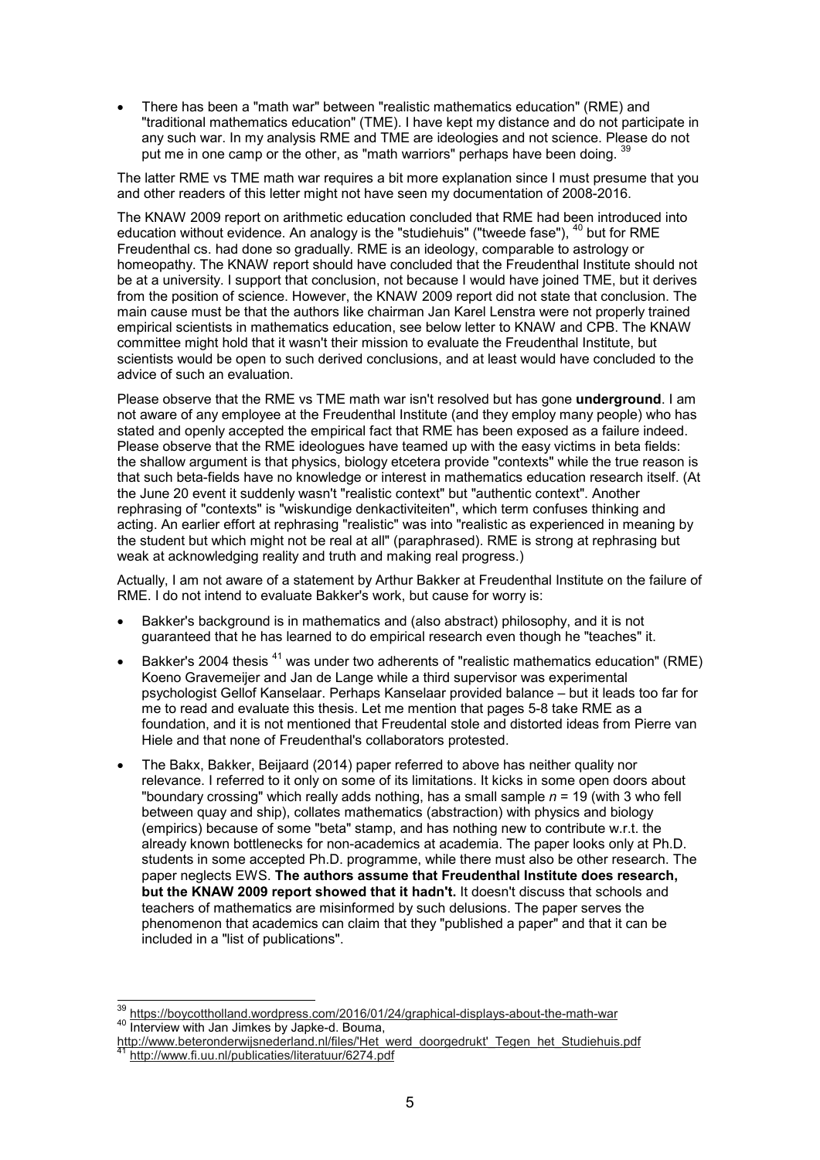• There has been a "math war" between "realistic mathematics education" (RME) and "traditional mathematics education" (TME). I have kept my distance and do not participate in any such war. In my analysis RME and TME are ideologies and not science. Please do not put me in one camp or the other, as "math warriors" perhaps have been doing. 39

The latter RME vs TME math war requires a bit more explanation since I must presume that you and other readers of this letter might not have seen my documentation of 2008-2016.

The KNAW 2009 report on arithmetic education concluded that RME had been introduced into education without evidence. An analogy is the "studiehuis" ("tweede fase"),  $40$  but for RME Freudenthal cs. had done so gradually. RME is an ideology, comparable to astrology or homeopathy. The KNAW report should have concluded that the Freudenthal Institute should not be at a university. I support that conclusion, not because I would have joined TME, but it derives from the position of science. However, the KNAW 2009 report did not state that conclusion. The main cause must be that the authors like chairman Jan Karel Lenstra were not properly trained empirical scientists in mathematics education, see below letter to KNAW and CPB. The KNAW committee might hold that it wasn't their mission to evaluate the Freudenthal Institute, but scientists would be open to such derived conclusions, and at least would have concluded to the advice of such an evaluation.

Please observe that the RME vs TME math war isn't resolved but has gone **underground**. I am not aware of any employee at the Freudenthal Institute (and they employ many people) who has stated and openly accepted the empirical fact that RME has been exposed as a failure indeed. Please observe that the RME ideologues have teamed up with the easy victims in beta fields: the shallow argument is that physics, biology etcetera provide "contexts" while the true reason is that such beta-fields have no knowledge or interest in mathematics education research itself. (At the June 20 event it suddenly wasn't "realistic context" but "authentic context". Another rephrasing of "contexts" is "wiskundige denkactiviteiten", which term confuses thinking and acting. An earlier effort at rephrasing "realistic" was into "realistic as experienced in meaning by the student but which might not be real at all" (paraphrased). RME is strong at rephrasing but weak at acknowledging reality and truth and making real progress.)

Actually, I am not aware of a statement by Arthur Bakker at Freudenthal Institute on the failure of RME. I do not intend to evaluate Bakker's work, but cause for worry is:

- Bakker's background is in mathematics and (also abstract) philosophy, and it is not guaranteed that he has learned to do empirical research even though he "teaches" it.
- Bakker's 2004 thesis <sup>41</sup> was under two adherents of "realistic mathematics education" (RME) Koeno Gravemeijer and Jan de Lange while a third supervisor was experimental psychologist Gellof Kanselaar. Perhaps Kanselaar provided balance – but it leads too far for me to read and evaluate this thesis. Let me mention that pages 5-8 take RME as a foundation, and it is not mentioned that Freudental stole and distorted ideas from Pierre van Hiele and that none of Freudenthal's collaborators protested.
- The Bakx, Bakker, Beijaard (2014) paper referred to above has neither quality nor relevance. I referred to it only on some of its limitations. It kicks in some open doors about "boundary crossing" which really adds nothing, has a small sample *n* = 19 (with 3 who fell between quay and ship), collates mathematics (abstraction) with physics and biology (empirics) because of some "beta" stamp, and has nothing new to contribute w.r.t. the already known bottlenecks for non-academics at academia. The paper looks only at Ph.D. students in some accepted Ph.D. programme, while there must also be other research. The paper neglects EWS. **The authors assume that Freudenthal Institute does research, but the KNAW 2009 report showed that it hadn't.** It doesn't discuss that schools and teachers of mathematics are misinformed by such delusions. The paper serves the phenomenon that academics can claim that they "published a paper" and that it can be included in a "list of publications".

 $\overline{z}$ <sup>39</sup> https://boycottholland.wordpress.com/2016/01/24/graphical-displays-about-the-math-war 40 Interview with Jan Jimkes by Japke-d. Bouma,

http://www.beteronderwijsnederland.nl/files/'Het\_werd\_doorgedrukt'\_Tegen\_het\_Studiehuis.pdf http://www.fi.uu.nl/publicaties/literatuur/6274.pdf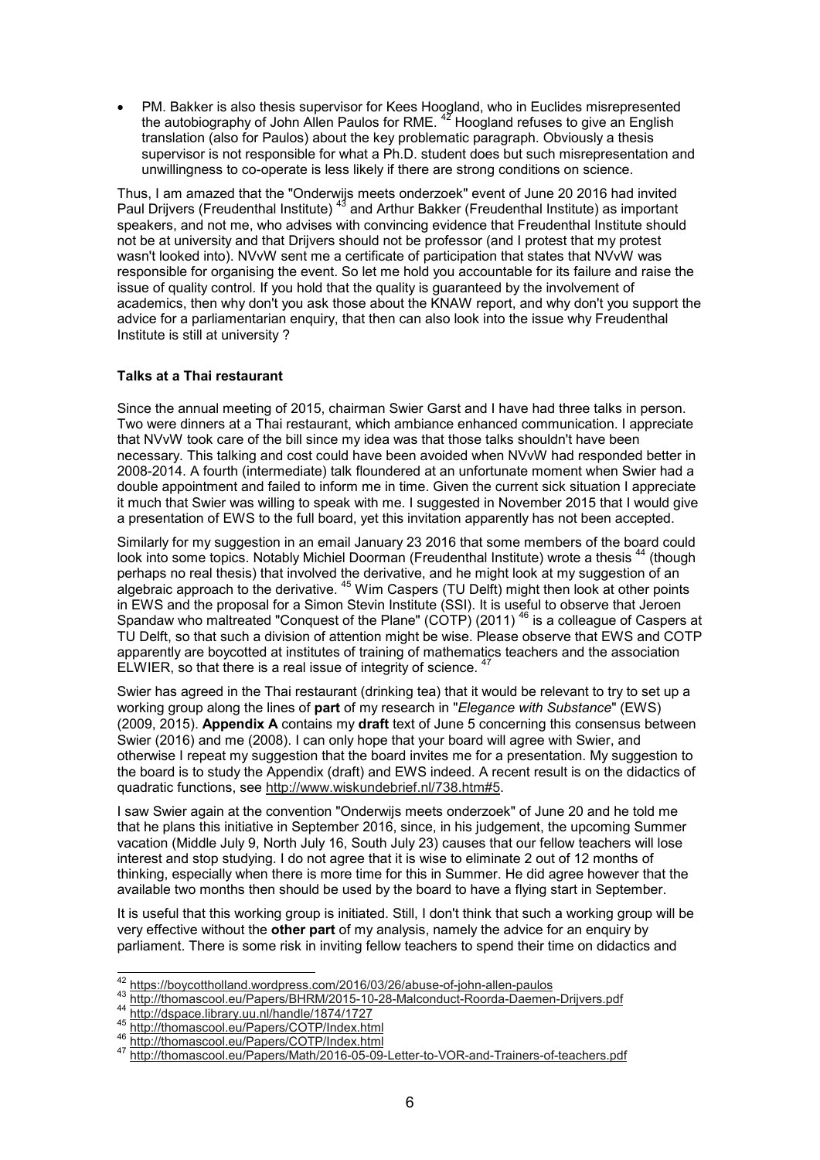• PM. Bakker is also thesis supervisor for Kees Hoogland, who in Euclides misrepresented the autobiography of John Allen Paulos for RME.  $^{47}$  Hoogland refuses to give an English translation (also for Paulos) about the key problematic paragraph. Obviously a thesis supervisor is not responsible for what a Ph.D. student does but such misrepresentation and unwillingness to co-operate is less likely if there are strong conditions on science.

Thus, I am amazed that the "Onderwijs meets onderzoek" event of June 20 2016 had invited Paul Drijvers (Freudenthal Institute) <sup>43</sup> and Arthur Bakker (Freudenthal Institute) as important speakers, and not me, who advises with convincing evidence that Freudenthal Institute should not be at university and that Drijvers should not be professor (and I protest that my protest wasn't looked into). NVvW sent me a certificate of participation that states that NVvW was responsible for organising the event. So let me hold you accountable for its failure and raise the issue of quality control. If you hold that the quality is guaranteed by the involvement of academics, then why don't you ask those about the KNAW report, and why don't you support the advice for a parliamentarian enquiry, that then can also look into the issue why Freudenthal Institute is still at university ?

#### **Talks at a Thai restaurant**

Since the annual meeting of 2015, chairman Swier Garst and I have had three talks in person. Two were dinners at a Thai restaurant, which ambiance enhanced communication. I appreciate that NVvW took care of the bill since my idea was that those talks shouldn't have been necessary. This talking and cost could have been avoided when NVvW had responded better in 2008-2014. A fourth (intermediate) talk floundered at an unfortunate moment when Swier had a double appointment and failed to inform me in time. Given the current sick situation I appreciate it much that Swier was willing to speak with me. I suggested in November 2015 that I would give a presentation of EWS to the full board, yet this invitation apparently has not been accepted.

Similarly for my suggestion in an email January 23 2016 that some members of the board could look into some topics. Notably Michiel Doorman (Freudenthal Institute) wrote a thesis <sup>44</sup> (though perhaps no real thesis) that involved the derivative, and he might look at my suggestion of an algebraic approach to the derivative.  $^{45}$  Wim Caspers (TU Delft) might then look at other points in EWS and the proposal for a Simon Stevin Institute (SSI). It is useful to observe that Jeroen Spandaw who maltreated "Conquest of the Plane" (COTP) (2011) <sup>46</sup> is a colleague of Caspers at TU Delft, so that such a division of attention might be wise. Please observe that EWS and COTP apparently are boycotted at institutes of training of mathematics teachers and the association ELWIER, so that there is a real issue of integrity of science.  $4<sup>7</sup>$ 

Swier has agreed in the Thai restaurant (drinking tea) that it would be relevant to try to set up a working group along the lines of **part** of my research in "*Elegance with Substance*" (EWS) (2009, 2015). **Appendix A** contains my **draft** text of June 5 concerning this consensus between Swier (2016) and me (2008). I can only hope that your board will agree with Swier, and otherwise I repeat my suggestion that the board invites me for a presentation. My suggestion to the board is to study the Appendix (draft) and EWS indeed. A recent result is on the didactics of quadratic functions, see http://www.wiskundebrief.nl/738.htm#5.

I saw Swier again at the convention "Onderwijs meets onderzoek" of June 20 and he told me that he plans this initiative in September 2016, since, in his judgement, the upcoming Summer vacation (Middle July 9, North July 16, South July 23) causes that our fellow teachers will lose interest and stop studying. I do not agree that it is wise to eliminate 2 out of 12 months of thinking, especially when there is more time for this in Summer. He did agree however that the available two months then should be used by the board to have a flying start in September.

It is useful that this working group is initiated. Still, I don't think that such a working group will be very effective without the **other part** of my analysis, namely the advice for an enquiry by parliament. There is some risk in inviting fellow teachers to spend their time on didactics and

 <sup>42</sup> https://boycottholland.wordpress.com/2016/03/26/abuse-of-john-allen-paulos

<sup>43</sup> http://thomascool.eu/Papers/BHRM/2015-10-28-Malconduct-Roorda-Daemen-Drijvers.pdf

http://dspace.library.uu.nl/handle/1874/1727

<sup>45</sup> http://thomascool.eu/Papers/COTP/Index.html

<sup>46</sup> http://thomascool.eu/Papers/COTP/Index.html

<sup>47</sup> http://thomascool.eu/Papers/Math/2016-05-09-Letter-to-VOR-and-Trainers-of-teachers.pdf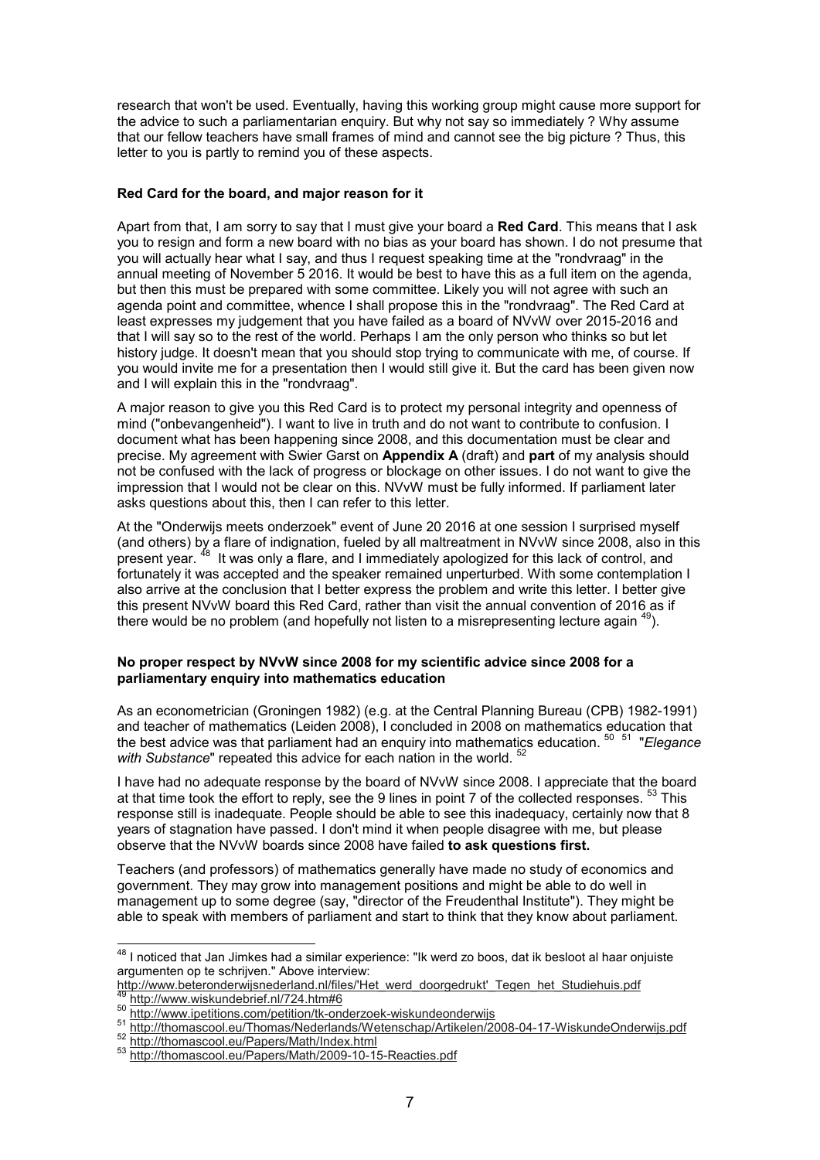research that won't be used. Eventually, having this working group might cause more support for the advice to such a parliamentarian enquiry. But why not say so immediately ? Why assume that our fellow teachers have small frames of mind and cannot see the big picture ? Thus, this letter to you is partly to remind you of these aspects.

## **Red Card for the board, and major reason for it**

Apart from that, I am sorry to say that I must give your board a **Red Card**. This means that I ask you to resign and form a new board with no bias as your board has shown. I do not presume that you will actually hear what I say, and thus I request speaking time at the "rondvraag" in the annual meeting of November 5 2016. It would be best to have this as a full item on the agenda, but then this must be prepared with some committee. Likely you will not agree with such an agenda point and committee, whence I shall propose this in the "rondvraag". The Red Card at least expresses my judgement that you have failed as a board of NVvW over 2015-2016 and that I will say so to the rest of the world. Perhaps I am the only person who thinks so but let history judge. It doesn't mean that you should stop trying to communicate with me, of course. If you would invite me for a presentation then I would still give it. But the card has been given now and I will explain this in the "rondvraag".

A major reason to give you this Red Card is to protect my personal integrity and openness of mind ("onbevangenheid"). I want to live in truth and do not want to contribute to confusion. I document what has been happening since 2008, and this documentation must be clear and precise. My agreement with Swier Garst on **Appendix A** (draft) and **part** of my analysis should not be confused with the lack of progress or blockage on other issues. I do not want to give the impression that I would not be clear on this. NVvW must be fully informed. If parliament later asks questions about this, then I can refer to this letter.

At the "Onderwijs meets onderzoek" event of June 20 2016 at one session I surprised myself (and others) by a flare of indignation, fueled by all maltreatment in NVvW since 2008, also in this present year. <sup>48</sup> It was only a flare, and I immediately apologized for this lack of control, and fortunately it was accepted and the speaker remained unperturbed. With some contemplation I also arrive at the conclusion that I better express the problem and write this letter. I better give this present NVvW board this Red Card, rather than visit the annual convention of 2016 as if there would be no problem (and hopefully not listen to a misrepresenting lecture again  $49$ ).

#### **No proper respect by NVvW since 2008 for my scientific advice since 2008 for a parliamentary enquiry into mathematics education**

As an econometrician (Groningen 1982) (e.g. at the Central Planning Bureau (CPB) 1982-1991) and teacher of mathematics (Leiden 2008), I concluded in 2008 on mathematics education that the best advice was that parliament had an enquiry into mathematics education. <sup>50</sup> <sup>51</sup> "*Elegance* with Substance" repeated this advice for each nation in the world. <sup>52</sup>

I have had no adequate response by the board of NVvW since 2008. I appreciate that the board at that time took the effort to reply, see the 9 lines in point 7 of the collected responses. <sup>53</sup> This response still is inadequate. People should be able to see this inadequacy, certainly now that 8 years of stagnation have passed. I don't mind it when people disagree with me, but please observe that the NVvW boards since 2008 have failed **to ask questions first.**

Teachers (and professors) of mathematics generally have made no study of economics and government. They may grow into management positions and might be able to do well in management up to some degree (say, "director of the Freudenthal Institute"). They might be able to speak with members of parliament and start to think that they know about parliament.

 $\overline{1}$  $^{\rm 48}$  I noticed that Jan Jimkes had a similar experience: "Ik werd zo boos, dat ik besloot al haar onjuiste argumenten op te schrijven." Above interview:

http://www.beteronderwijsnederland.nl/files/'Het\_werd\_doorgedrukt'\_Tegen\_het\_Studiehuis.pdf

<sup>&</sup>lt;sup>49</sup> http://www.wiskundebrief.nl/724.htm#6

<sup>50</sup> http://www.ipetitions.com/petition/tk-onderzoek-wiskundeonderwijs

<sup>51</sup> http://thomascool.eu/Thomas/Nederlands/Wetenschap/Artikelen/2008-04-17-WiskundeOnderwijs.pdf

<sup>52</sup> http://thomascool.eu/Papers/Math/Index.html

<sup>53</sup> http://thomascool.eu/Papers/Math/2009-10-15-Reacties.pdf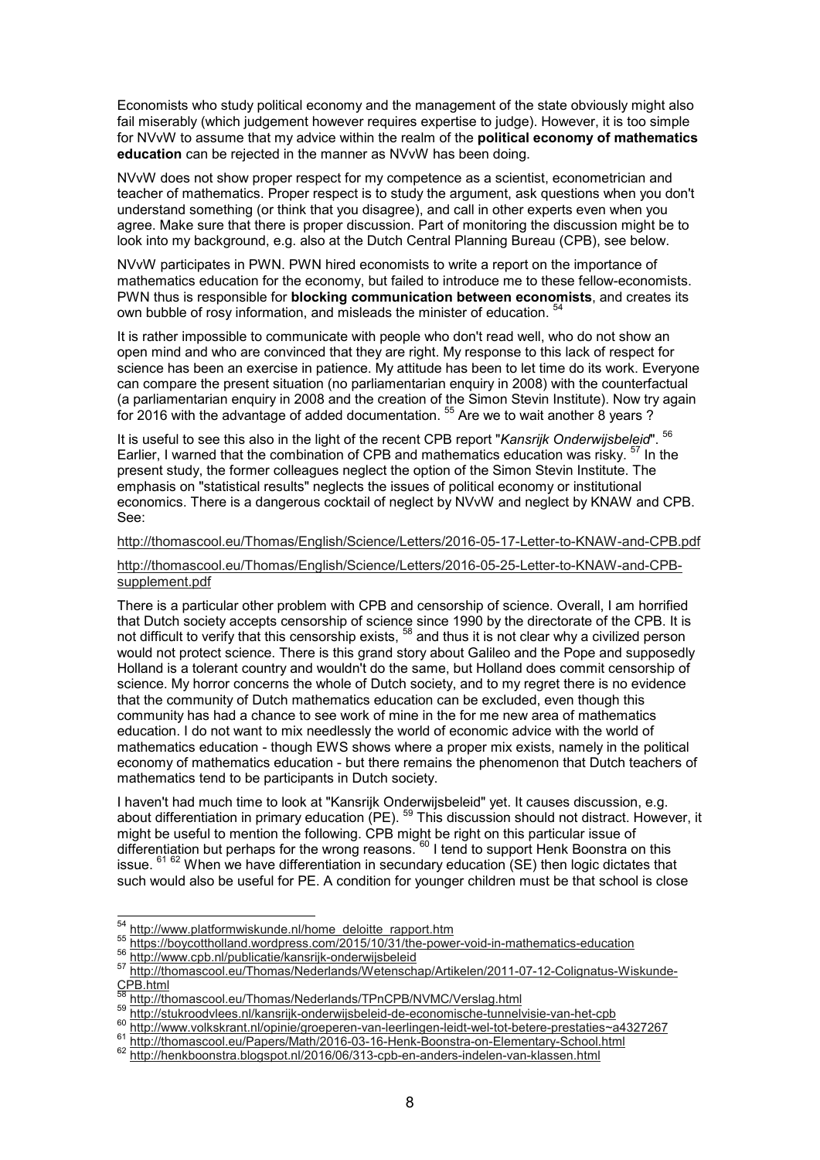Economists who study political economy and the management of the state obviously might also fail miserably (which judgement however requires expertise to judge). However, it is too simple for NVvW to assume that my advice within the realm of the **political economy of mathematics education** can be rejected in the manner as NVvW has been doing.

NVvW does not show proper respect for my competence as a scientist, econometrician and teacher of mathematics. Proper respect is to study the argument, ask questions when you don't understand something (or think that you disagree), and call in other experts even when you agree. Make sure that there is proper discussion. Part of monitoring the discussion might be to look into my background, e.g. also at the Dutch Central Planning Bureau (CPB), see below.

NVvW participates in PWN. PWN hired economists to write a report on the importance of mathematics education for the economy, but failed to introduce me to these fellow-economists. PWN thus is responsible for **blocking communication between economists**, and creates its own bubble of rosy information, and misleads the minister of education. <sup>54</sup>

It is rather impossible to communicate with people who don't read well, who do not show an open mind and who are convinced that they are right. My response to this lack of respect for science has been an exercise in patience. My attitude has been to let time do its work. Everyone can compare the present situation (no parliamentarian enquiry in 2008) with the counterfactual (a parliamentarian enquiry in 2008 and the creation of the Simon Stevin Institute). Now try again for 2016 with the advantage of added documentation.  $^{\rm 55}$  Are we to wait another  $8$  years ?

It is useful to see this also in the light of the recent CPB report "*Kansrijk Onderwijsbeleid*". <sup>56</sup> Earlier, I warned that the combination of CPB and mathematics education was risky. <sup>57</sup> In the present study, the former colleagues neglect the option of the Simon Stevin Institute. The emphasis on "statistical results" neglects the issues of political economy or institutional economics. There is a dangerous cocktail of neglect by NVvW and neglect by KNAW and CPB. See:

http://thomascool.eu/Thomas/English/Science/Letters/2016-05-17-Letter-to-KNAW-and-CPB.pdf

# http://thomascool.eu/Thomas/English/Science/Letters/2016-05-25-Letter-to-KNAW-and-CPBsupplement.pdf

There is a particular other problem with CPB and censorship of science. Overall, I am horrified that Dutch society accepts censorship of science since 1990 by the directorate of the CPB. It is not difficult to verify that this censorship exists, <sup>58</sup> and thus it is not clear why a civilized person would not protect science. There is this grand story about Galileo and the Pope and supposedly Holland is a tolerant country and wouldn't do the same, but Holland does commit censorship of science. My horror concerns the whole of Dutch society, and to my regret there is no evidence that the community of Dutch mathematics education can be excluded, even though this community has had a chance to see work of mine in the for me new area of mathematics education. I do not want to mix needlessly the world of economic advice with the world of mathematics education - though EWS shows where a proper mix exists, namely in the political economy of mathematics education - but there remains the phenomenon that Dutch teachers of mathematics tend to be participants in Dutch society.

I haven't had much time to look at "Kansrijk Onderwijsbeleid" yet. It causes discussion, e.g. about differentiation in primary education (PE). <sup>59</sup> This discussion should not distract. However, it might be useful to mention the following. CPB might be right on this particular issue of differentiation but perhaps for the wrong reasons. <sup>60</sup> I tend to support Henk Boonstra on this issue.  $^{61\ 62}$  When we have differentiation in secundary education (SE) then logic dictates that such would also be useful for PE. A condition for younger children must be that school is close

<sup>&</sup>lt;sup>54</sup> http://www.platformwiskunde.nl/home\_deloitte\_rapport.htm

<sup>55</sup> https://boycottholland.wordpress.com/2015/10/31/the-power-void-in-mathematics-education

<sup>56</sup> http://www.cpb.nl/publicatie/kansrijk-onderwijsbeleid

<sup>57</sup> http://thomascool.eu/Thomas/Nederlands/Wetenschap/Artikelen/2011-07-12-Colignatus-Wiskunde- $CPB.html$ 

<sup>&</sup>lt;sup>58</sup> http://thomascool.eu/Thomas/Nederlands/TPnCPB/NVMC/Verslag.html

<sup>59</sup> http://stukroodvlees.nl/kansrijk-onderwijsbeleid-de-economische-tunnelvisie-van-het-cpb

<sup>60</sup> http://www.volkskrant.nl/opinie/groeperen-van-leerlingen-leidt-wel-tot-betere-prestaties~a4327267

http://thomascool.eu/Papers/Math/2016-03-16-Henk-Boonstra-on-Elementary-School.html

<sup>62</sup> http://henkboonstra.blogspot.nl/2016/06/313-cpb-en-anders-indelen-van-klassen.html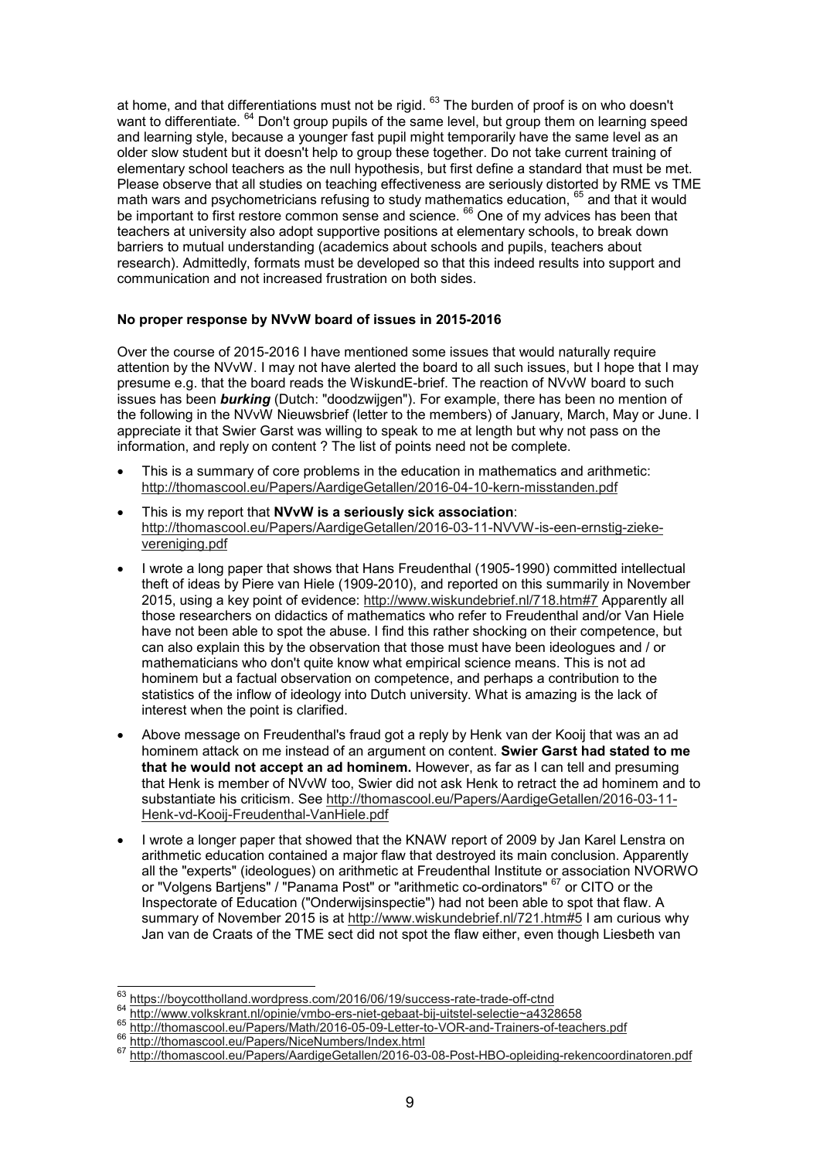at home, and that differentiations must not be rigid.  $^{63}$  The burden of proof is on who doesn't want to differentiate. <sup>64</sup> Don't group pupils of the same level, but group them on learning speed and learning style, because a younger fast pupil might temporarily have the same level as an older slow student but it doesn't help to group these together. Do not take current training of elementary school teachers as the null hypothesis, but first define a standard that must be met. Please observe that all studies on teaching effectiveness are seriously distorted by RME vs TME math wars and psychometricians refusing to study mathematics education, <sup>65</sup> and that it would be important to first restore common sense and science. <sup>66</sup> One of my advices has been that teachers at university also adopt supportive positions at elementary schools, to break down barriers to mutual understanding (academics about schools and pupils, teachers about research). Admittedly, formats must be developed so that this indeed results into support and communication and not increased frustration on both sides.

# **No proper response by NVvW board of issues in 2015-2016**

Over the course of 2015-2016 I have mentioned some issues that would naturally require attention by the NVvW. I may not have alerted the board to all such issues, but I hope that I may presume e.g. that the board reads the WiskundE-brief. The reaction of NVvW board to such issues has been *burking* (Dutch: "doodzwijgen"). For example, there has been no mention of the following in the NVvW Nieuwsbrief (letter to the members) of January, March, May or June. I appreciate it that Swier Garst was willing to speak to me at length but why not pass on the information, and reply on content ? The list of points need not be complete.

- This is a summary of core problems in the education in mathematics and arithmetic: http://thomascool.eu/Papers/AardigeGetallen/2016-04-10-kern-misstanden.pdf
- This is my report that **NVvW is a seriously sick association**: http://thomascool.eu/Papers/AardigeGetallen/2016-03-11-NVVW-is-een-ernstig-ziekevereniging.pdf
- I wrote a long paper that shows that Hans Freudenthal (1905-1990) committed intellectual theft of ideas by Piere van Hiele (1909-2010), and reported on this summarily in November 2015, using a key point of evidence: http://www.wiskundebrief.nl/718.htm#7 Apparently all those researchers on didactics of mathematics who refer to Freudenthal and/or Van Hiele have not been able to spot the abuse. I find this rather shocking on their competence, but can also explain this by the observation that those must have been ideologues and / or mathematicians who don't quite know what empirical science means. This is not ad hominem but a factual observation on competence, and perhaps a contribution to the statistics of the inflow of ideology into Dutch university. What is amazing is the lack of interest when the point is clarified.
- Above message on Freudenthal's fraud got a reply by Henk van der Kooij that was an ad hominem attack on me instead of an argument on content. **Swier Garst had stated to me that he would not accept an ad hominem.** However, as far as I can tell and presuming that Henk is member of NVvW too, Swier did not ask Henk to retract the ad hominem and to substantiate his criticism. See http://thomascool.eu/Papers/AardigeGetallen/2016-03-11-Henk-vd-Kooij-Freudenthal-VanHiele.pdf
- I wrote a longer paper that showed that the KNAW report of 2009 by Jan Karel Lenstra on arithmetic education contained a major flaw that destroyed its main conclusion. Apparently all the "experts" (ideologues) on arithmetic at Freudenthal Institute or association NVORWO or "Volgens Bartjens" / "Panama Post" or "arithmetic co-ordinators" <sup>67</sup> or CITO or the Inspectorate of Education ("Onderwijsinspectie") had not been able to spot that flaw. A summary of November 2015 is at http://www.wiskundebrief.nl/721.htm#5 I am curious why Jan van de Craats of the TME sect did not spot the flaw either, even though Liesbeth van

 $^{63}_{\sim}$  https://boycottholland.wordpress.com/2016/06/19/success-rate-trade-off-ctnd

<sup>64</sup> http://www.volkskrant.nl/opinie/vmbo-ers-niet-gebaat-bij-uitstel-selectie~a4328658

<sup>65</sup> http://thomascool.eu/Papers/Math/2016-05-09-Letter-to-VOR-and-Trainers-of-teachers.pdf

<sup>66</sup> http://thomascool.eu/Papers/NiceNumbers/Index.html

<sup>67</sup> http://thomascool.eu/Papers/AardigeGetallen/2016-03-08-Post-HBO-opleiding-rekencoordinatoren.pdf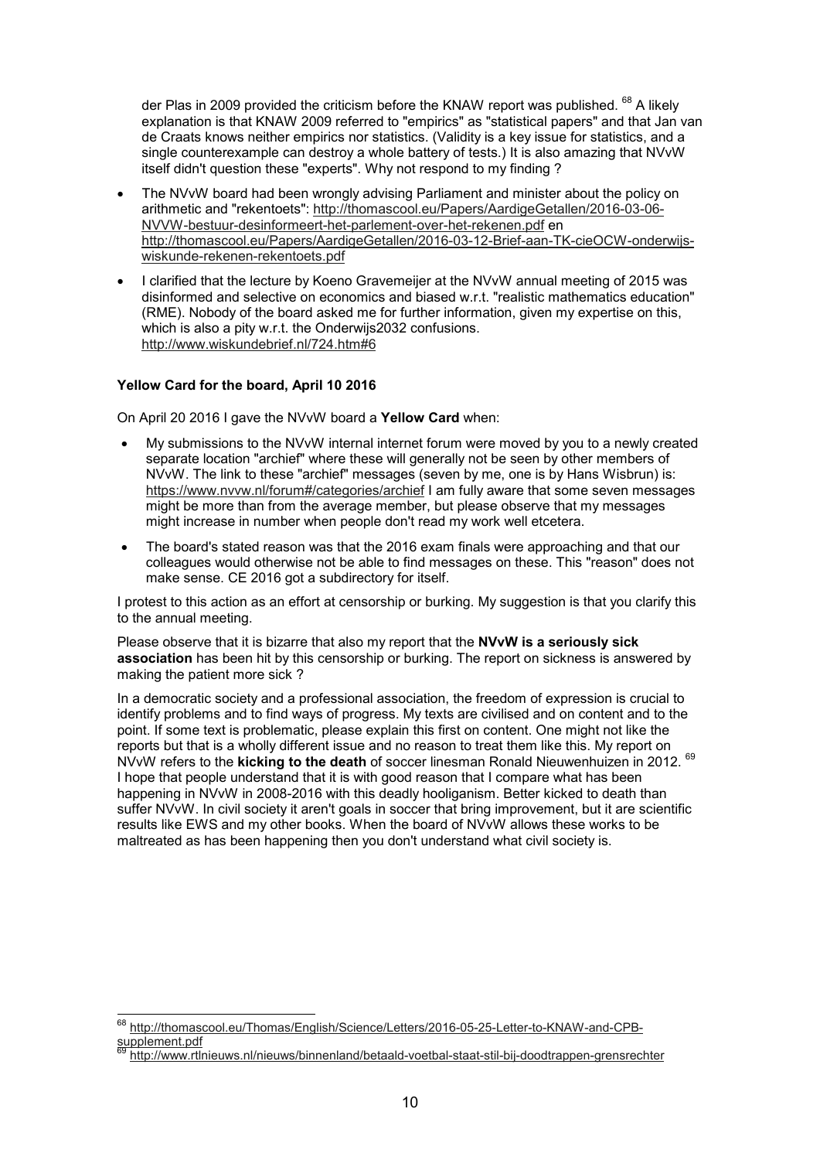der Plas in 2009 provided the criticism before the KNAW report was published. <sup>68</sup> A likely explanation is that KNAW 2009 referred to "empirics" as "statistical papers" and that Jan van de Craats knows neither empirics nor statistics. (Validity is a key issue for statistics, and a single counterexample can destroy a whole battery of tests.) It is also amazing that NVvW itself didn't question these "experts". Why not respond to my finding ?

- The NVvW board had been wrongly advising Parliament and minister about the policy on arithmetic and "rekentoets": http://thomascool.eu/Papers/AardigeGetallen/2016-03-06- NVVW-bestuur-desinformeert-het-parlement-over-het-rekenen.pdf en http://thomascool.eu/Papers/AardigeGetallen/2016-03-12-Brief-aan-TK-cieOCW-onderwijswiskunde-rekenen-rekentoets.pdf
- I clarified that the lecture by Koeno Gravemeijer at the NVvW annual meeting of 2015 was disinformed and selective on economics and biased w.r.t. "realistic mathematics education" (RME). Nobody of the board asked me for further information, given my expertise on this, which is also a pity w.r.t. the Onderwijs2032 confusions. http://www.wiskundebrief.nl/724.htm#6

# **Yellow Card for the board, April 10 2016**

ŧ

On April 20 2016 I gave the NVvW board a **Yellow Card** when:

- My submissions to the NVvW internal internet forum were moved by you to a newly created separate location "archief" where these will generally not be seen by other members of NVvW. The link to these "archief" messages (seven by me, one is by Hans Wisbrun) is: https://www.nvvw.nl/forum#/categories/archief I am fully aware that some seven messages might be more than from the average member, but please observe that my messages might increase in number when people don't read my work well etcetera.
- The board's stated reason was that the 2016 exam finals were approaching and that our colleagues would otherwise not be able to find messages on these. This "reason" does not make sense. CE 2016 got a subdirectory for itself.

I protest to this action as an effort at censorship or burking. My suggestion is that you clarify this to the annual meeting.

Please observe that it is bizarre that also my report that the **NVvW is a seriously sick association** has been hit by this censorship or burking. The report on sickness is answered by making the patient more sick ?

In a democratic society and a professional association, the freedom of expression is crucial to identify problems and to find ways of progress. My texts are civilised and on content and to the point. If some text is problematic, please explain this first on content. One might not like the reports but that is a wholly different issue and no reason to treat them like this. My report on NVvW refers to the **kicking to the death** of soccer linesman Ronald Nieuwenhuizen in 2012. <sup>69</sup> I hope that people understand that it is with good reason that I compare what has been happening in NVvW in 2008-2016 with this deadly hooliganism. Better kicked to death than suffer NVvW. In civil society it aren't goals in soccer that bring improvement, but it are scientific results like EWS and my other books. When the board of NVvW allows these works to be maltreated as has been happening then you don't understand what civil society is.

<sup>68</sup> http://thomascool.eu/Thomas/English/Science/Letters/2016-05-25-Letter-to-KNAW-and-CPBsupplement.pdf

<sup>69</sup> http://www.rtlnieuws.nl/nieuws/binnenland/betaald-voetbal-staat-stil-bij-doodtrappen-grensrechter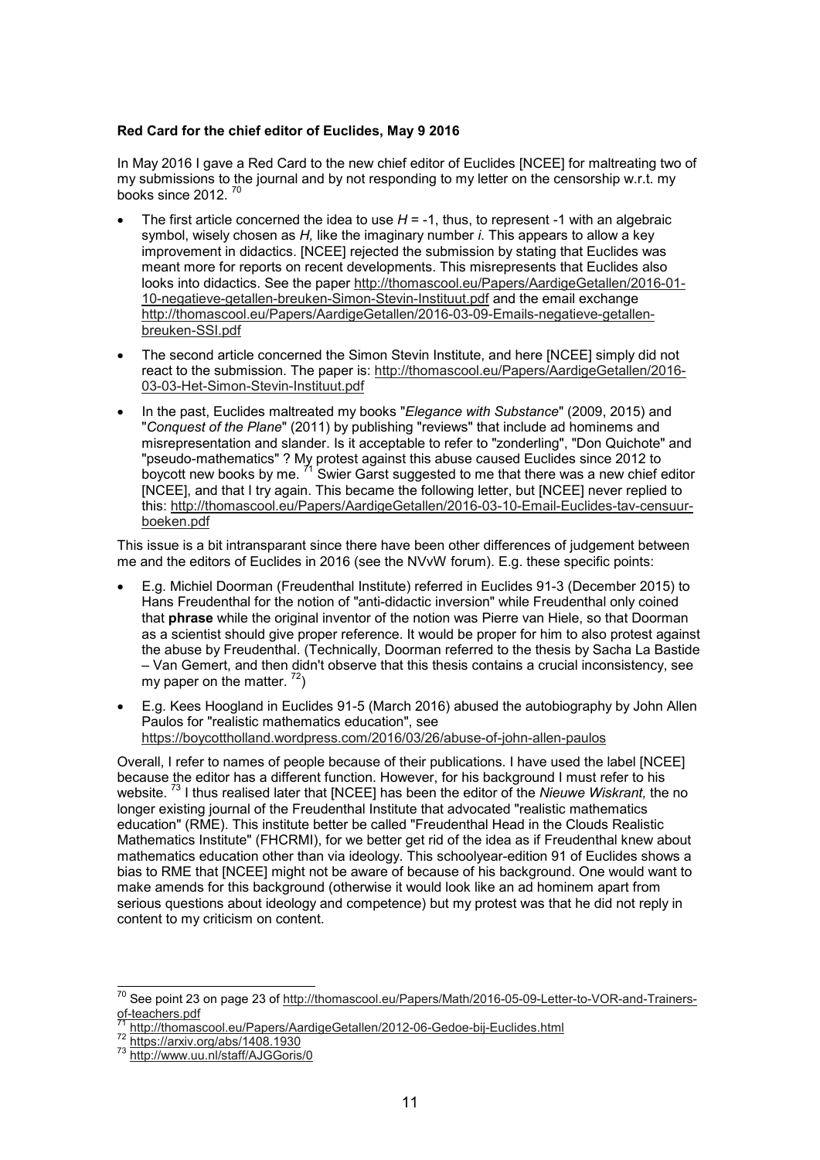# **Red Card for the chief editor of Euclides, May 9 2016**

In May 2016 I gave a Red Card to the new chief editor of Euclides [NCEE] for maltreating two of my submissions to the journal and by not responding to my letter on the censorship w.r.t. my books since 2012. <sup>70</sup>

- The first article concerned the idea to use *H* = -1, thus, to represent -1 with an algebraic symbol, wisely chosen as *H,* like the imaginary number *i*. This appears to allow a key improvement in didactics. [NCEE] rejected the submission by stating that Euclides was meant more for reports on recent developments. This misrepresents that Euclides also looks into didactics. See the paper http://thomascool.eu/Papers/AardigeGetallen/2016-01- 10-negatieve-getallen-breuken-Simon-Stevin-Instituut.pdf and the email exchange http://thomascool.eu/Papers/AardigeGetallen/2016-03-09-Emails-negatieve-getallenbreuken-SSI.pdf
- The second article concerned the Simon Stevin Institute, and here [NCEE] simply did not react to the submission. The paper is: http://thomascool.eu/Papers/AardigeGetallen/2016- 03-03-Het-Simon-Stevin-Instituut.pdf
- In the past, Euclides maltreated my books "*Elegance with Substance*" (2009, 2015) and "*Conquest of the Plane*" (2011) by publishing "reviews" that include ad hominems and misrepresentation and slander. Is it acceptable to refer to "zonderling", "Don Quichote" and "pseudo-mathematics" ? My protest against this abuse caused Euclides since 2012 to boycott new books by me.  $^{71}$  Swier Garst suggested to me that there was a new chief editor [NCEE], and that I try again. This became the following letter, but [NCEE] never replied to this: http://thomascool.eu/Papers/AardigeGetallen/2016-03-10-Email-Euclides-tav-censuurboeken.pdf

This issue is a bit intransparant since there have been other differences of judgement between me and the editors of Euclides in 2016 (see the NVvW forum). E.g. these specific points:

- E.g. Michiel Doorman (Freudenthal Institute) referred in Euclides 91-3 (December 2015) to Hans Freudenthal for the notion of "anti-didactic inversion" while Freudenthal only coined that **phrase** while the original inventor of the notion was Pierre van Hiele, so that Doorman as a scientist should give proper reference. It would be proper for him to also protest against the abuse by Freudenthal. (Technically, Doorman referred to the thesis by Sacha La Bastide – Van Gemert, and then didn't observe that this thesis contains a crucial inconsistency, see my paper on the matter.  $^{72}$ )
- E.g. Kees Hoogland in Euclides 91-5 (March 2016) abused the autobiography by John Allen Paulos for "realistic mathematics education", see https://boycottholland.wordpress.com/2016/03/26/abuse-of-john-allen-paulos

Overall, I refer to names of people because of their publications. I have used the label [NCEE] because the editor has a different function. However, for his background I must refer to his website. <sup>73</sup> I thus realised later that [NCEE] has been the editor of the *Nieuwe Wiskrant,* the no longer existing journal of the Freudenthal Institute that advocated "realistic mathematics education" (RME). This institute better be called "Freudenthal Head in the Clouds Realistic Mathematics Institute" (FHCRMI), for we better get rid of the idea as if Freudenthal knew about mathematics education other than via ideology. This schoolyear-edition 91 of Euclides shows a bias to RME that [NCEE] might not be aware of because of his background. One would want to make amends for this background (otherwise it would look like an ad hominem apart from serious questions about ideology and competence) but my protest was that he did not reply in content to my criticism on content.

<sup>&</sup>lt;sup>70</sup> See point 23 on page 23 of <u>http://thomascool.eu/Papers/Math/2016-05-09-Letter-to-VOR-and-Trainers-</u> of-teachers.pdf

<sup>71</sup> http://thomascool.eu/Papers/AardigeGetallen/2012-06-Gedoe-bij-Euclides.html

<sup>72</sup> https://arxiv.org/abs/1408.1930

<sup>73</sup> http://www.uu.nl/staff/AJGGoris/0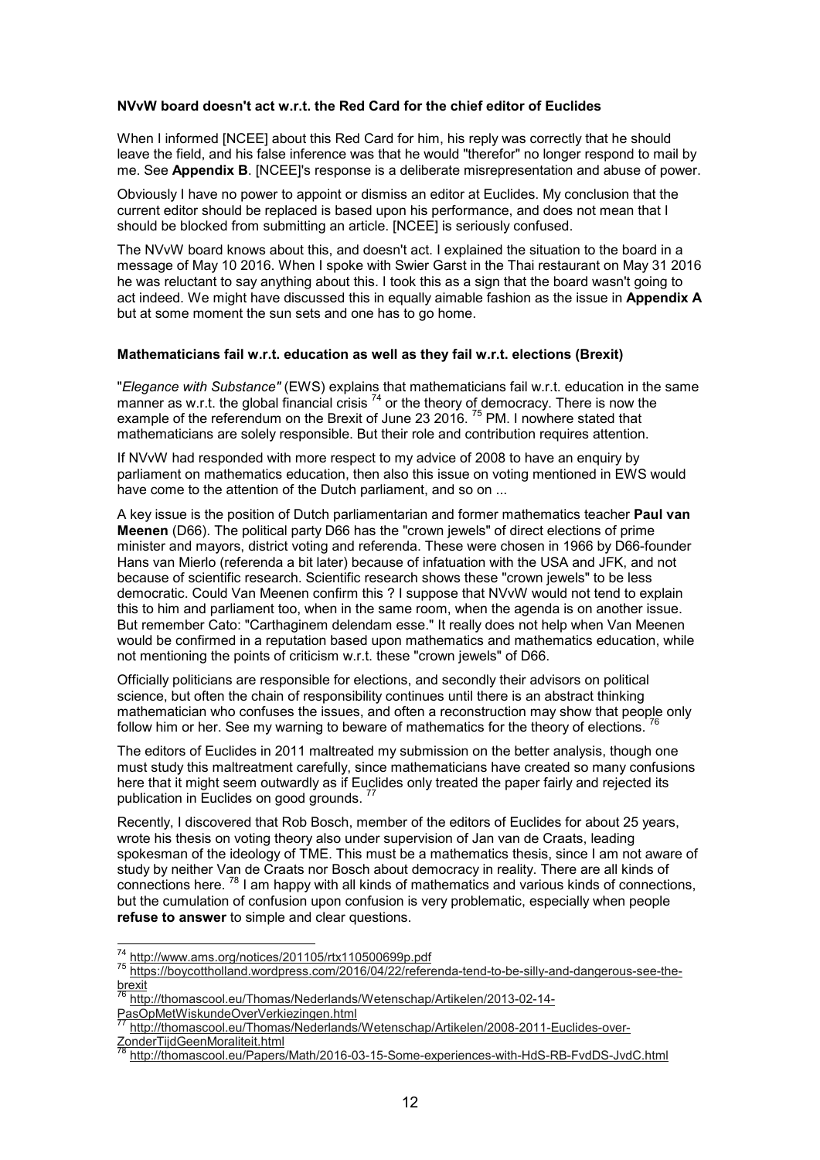#### **NVvW board doesn't act w.r.t. the Red Card for the chief editor of Euclides**

When I informed [NCEE] about this Red Card for him, his reply was correctly that he should leave the field, and his false inference was that he would "therefor" no longer respond to mail by me. See **Appendix B**. [NCEE]'s response is a deliberate misrepresentation and abuse of power.

Obviously I have no power to appoint or dismiss an editor at Euclides. My conclusion that the current editor should be replaced is based upon his performance, and does not mean that I should be blocked from submitting an article. [NCEE] is seriously confused.

The NVvW board knows about this, and doesn't act. I explained the situation to the board in a message of May 10 2016. When I spoke with Swier Garst in the Thai restaurant on May 31 2016 he was reluctant to say anything about this. I took this as a sign that the board wasn't going to act indeed. We might have discussed this in equally aimable fashion as the issue in **Appendix A** but at some moment the sun sets and one has to go home.

#### **Mathematicians fail w.r.t. education as well as they fail w.r.t. elections (Brexit)**

"*Elegance with Substance"* (EWS) explains that mathematicians fail w.r.t. education in the same manner as w.r.t. the global financial crisis  $^{74}$  or the theory of democracy. There is now the example of the referendum on the Brexit of June 23 2016.<sup>75</sup> PM. I nowhere stated that mathematicians are solely responsible. But their role and contribution requires attention.

If NVvW had responded with more respect to my advice of 2008 to have an enquiry by parliament on mathematics education, then also this issue on voting mentioned in EWS would have come to the attention of the Dutch parliament, and so on ...

A key issue is the position of Dutch parliamentarian and former mathematics teacher **Paul van Meenen** (D66). The political party D66 has the "crown jewels" of direct elections of prime minister and mayors, district voting and referenda. These were chosen in 1966 by D66-founder Hans van Mierlo (referenda a bit later) because of infatuation with the USA and JFK, and not because of scientific research. Scientific research shows these "crown jewels" to be less democratic. Could Van Meenen confirm this ? I suppose that NVvW would not tend to explain this to him and parliament too, when in the same room, when the agenda is on another issue. But remember Cato: "Carthaginem delendam esse." It really does not help when Van Meenen would be confirmed in a reputation based upon mathematics and mathematics education, while not mentioning the points of criticism w.r.t. these "crown jewels" of D66.

Officially politicians are responsible for elections, and secondly their advisors on political science, but often the chain of responsibility continues until there is an abstract thinking mathematician who confuses the issues, and often a reconstruction may show that people only follow him or her. See my warning to beware of mathematics for the theory of elections.

The editors of Euclides in 2011 maltreated my submission on the better analysis, though one must study this maltreatment carefully, since mathematicians have created so many confusions here that it might seem outwardly as if Euclides only treated the paper fairly and rejected its publication in Euclides on good grounds.  $<sup>77</sup>$ </sup>

Recently, I discovered that Rob Bosch, member of the editors of Euclides for about 25 years, wrote his thesis on voting theory also under supervision of Jan van de Craats, leading spokesman of the ideology of TME. This must be a mathematics thesis, since I am not aware of study by neither Van de Craats nor Bosch about democracy in reality. There are all kinds of connections here.  $^{78}$  I am happy with all kinds of mathematics and various kinds of connections, but the cumulation of confusion upon confusion is very problematic, especially when people **refuse to answer** to simple and clear questions.

<sup>74</sup> http://www.ams.org/notices/201105/rtx110500699p.pdf

<sup>75</sup> https://boycottholland.wordpress.com/2016/04/22/referenda-tend-to-be-silly-and-dangerous-see-the $rac{b}{76}$   $rac{b}{b}$ 

http://thomascool.eu/Thomas/Nederlands/Wetenschap/Artikelen/2013-02-14-

PasOpMetWiskundeOverVerkiezingen.html

<sup>77</sup> http://thomascool.eu/Thomas/Nederlands/Wetenschap/Artikelen/2008-2011-Euclides-over-ZonderTijdGeenMoraliteit.html

<sup>78</sup> http://thomascool.eu/Papers/Math/2016-03-15-Some-experiences-with-HdS-RB-FvdDS-JvdC.html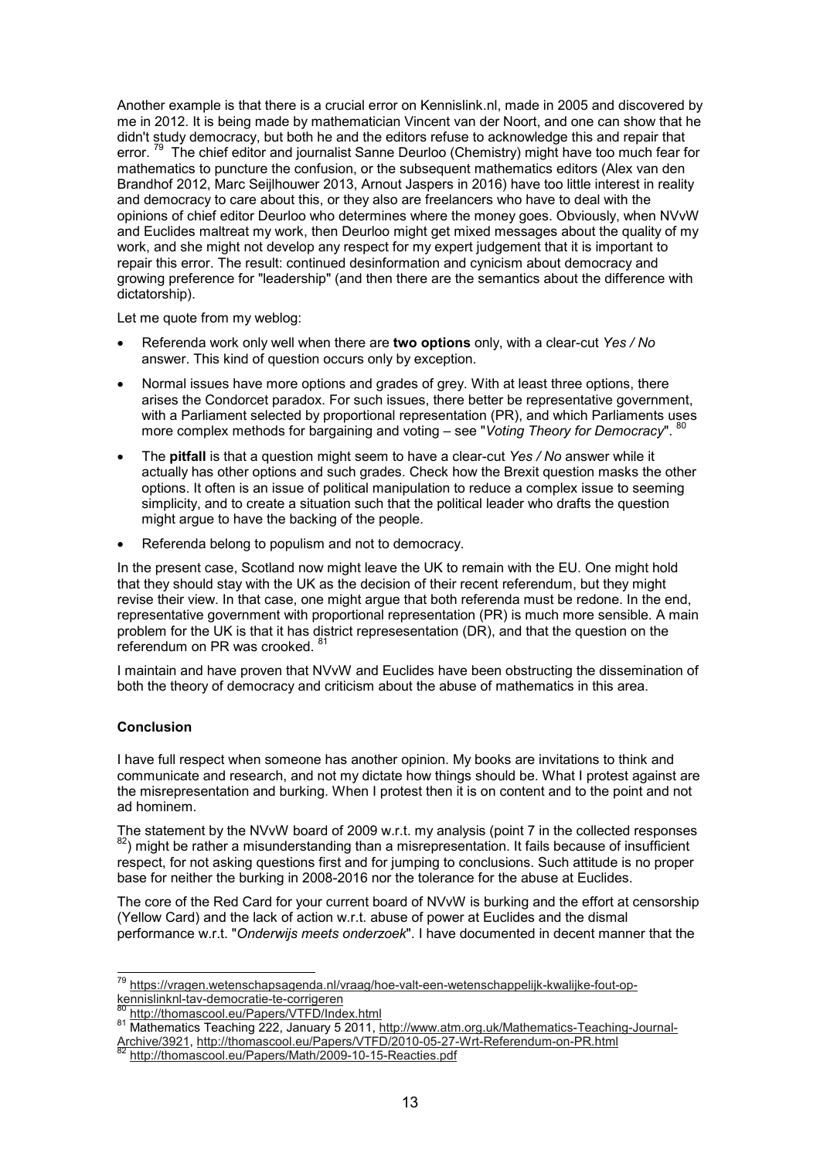Another example is that there is a crucial error on Kennislink.nl, made in 2005 and discovered by me in 2012. It is being made by mathematician Vincent van der Noort, and one can show that he didn't study democracy, but both he and the editors refuse to acknowledge this and repair that error.<sup>79</sup> The chief editor and journalist Sanne Deurloo (Chemistry) might have too much fear for mathematics to puncture the confusion, or the subsequent mathematics editors (Alex van den Brandhof 2012, Marc Seijlhouwer 2013, Arnout Jaspers in 2016) have too little interest in reality and democracy to care about this, or they also are freelancers who have to deal with the opinions of chief editor Deurloo who determines where the money goes. Obviously, when NVvW and Euclides maltreat my work, then Deurloo might get mixed messages about the quality of my work, and she might not develop any respect for my expert judgement that it is important to repair this error. The result: continued desinformation and cynicism about democracy and growing preference for "leadership" (and then there are the semantics about the difference with dictatorship).

Let me quote from my weblog:

- Referenda work only well when there are **two options** only, with a clear-cut *Yes / No* answer. This kind of question occurs only by exception.
- Normal issues have more options and grades of grey. With at least three options, there arises the Condorcet paradox. For such issues, there better be representative government, with a Parliament selected by proportional representation (PR), and which Parliaments uses more complex methods for bargaining and voting – see "*Voting Theory for Democracy*". <sup>80</sup>
- The **pitfall** is that a question might seem to have a clear-cut *Yes / No* answer while it actually has other options and such grades. Check how the Brexit question masks the other options. It often is an issue of political manipulation to reduce a complex issue to seeming simplicity, and to create a situation such that the political leader who drafts the question might argue to have the backing of the people.
- Referenda belong to populism and not to democracy.

In the present case, Scotland now might leave the UK to remain with the EU. One might hold that they should stay with the UK as the decision of their recent referendum, but they might revise their view. In that case, one might argue that both referenda must be redone. In the end, representative government with proportional representation (PR) is much more sensible. A main problem for the UK is that it has district represesentation (DR), and that the question on the referendum on PR was crooked.

I maintain and have proven that NVvW and Euclides have been obstructing the dissemination of both the theory of democracy and criticism about the abuse of mathematics in this area.

# **Conclusion**

I have full respect when someone has another opinion. My books are invitations to think and communicate and research, and not my dictate how things should be. What I protest against are the misrepresentation and burking. When I protest then it is on content and to the point and not ad hominem.

The statement by the NVvW board of 2009 w.r.t. my analysis (point 7 in the collected responses  $82$ ) might be rather a misunderstanding than a misrepresentation. It fails because of insufficient respect, for not asking questions first and for jumping to conclusions. Such attitude is no proper base for neither the burking in 2008-2016 nor the tolerance for the abuse at Euclides.

The core of the Red Card for your current board of NVvW is burking and the effort at censorship (Yellow Card) and the lack of action w.r.t. abuse of power at Euclides and the dismal performance w.r.t. "*Onderwijs meets onderzoek*". I have documented in decent manner that the

 $\overline{a}$ <sup>79</sup> https://vragen.wetenschapsagenda.nl/vraag/hoe-valt-een-wetenschappelijk-kwalijke-fout-opkennislinknl-tav-democratie-te-corrigeren

<sup>80</sup> http://thomascool.eu/Papers/VTFD/Index.html

<sup>81</sup> Mathematics Teaching 222, January 5 2011, http://www.atm.org.uk/Mathematics-Teaching-Journal-Archive/3921, http://thomascool.eu/Papers/VTFD/2010-05-27-Wrt-Referendum-on-PR.html

http://thomascool.eu/Papers/Math/2009-10-15-Reacties.pdf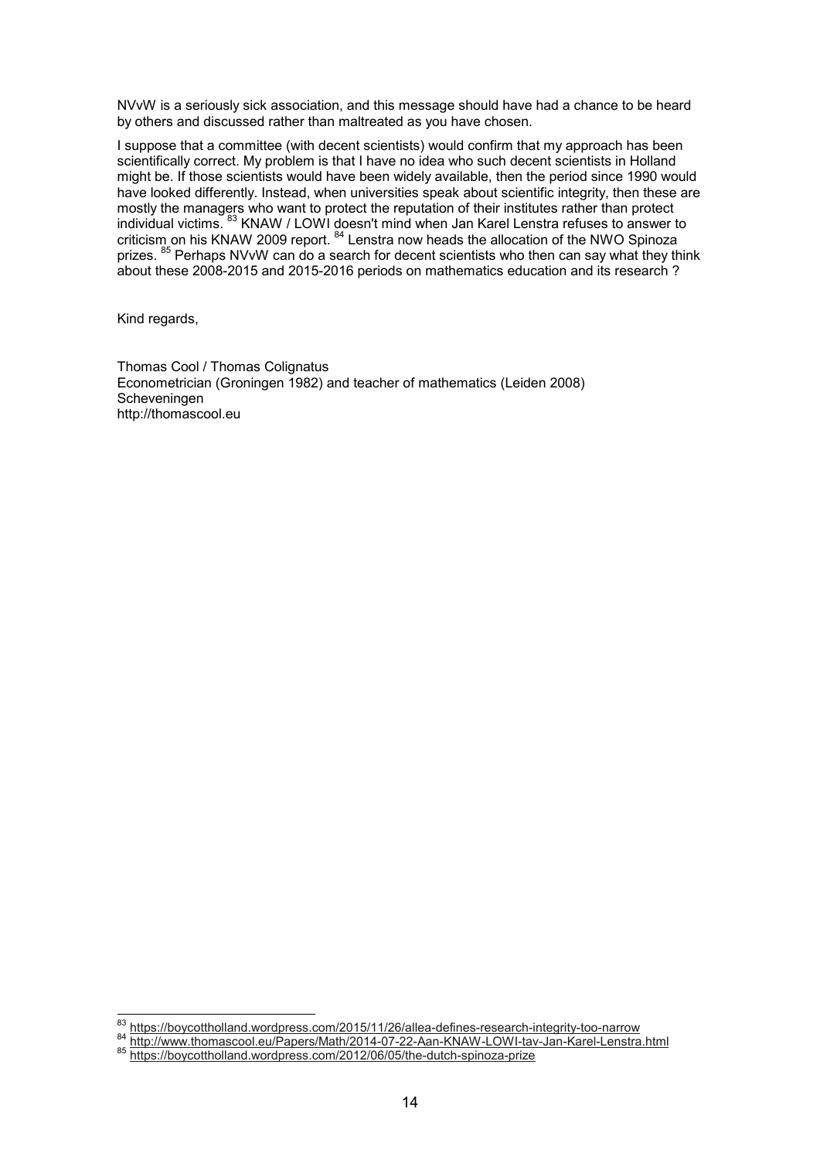NVvW is a seriously sick association, and this message should have had a chance to be heard by others and discussed rather than maltreated as you have chosen.

I suppose that a committee (with decent scientists) would confirm that my approach has been scientifically correct. My problem is that I have no idea who such decent scientists in Holland might be. If those scientists would have been widely available, then the period since 1990 would have looked differently. Instead, when universities speak about scientific integrity, then these are mostly the managers who want to protect the reputation of their institutes rather than protect individual victims. <sup>83</sup> KNAW / LOWI doesn't mind when Jan Karel Lenstra refuses to answer to criticism on his KNAW 2009 report. <sup>84</sup> Lenstra now heads the allocation of the NWO Spinoza prizes. <sup>85</sup> Perhaps NVvW can do a search for decent scientists who then can say what they think about these 2008-2015 and 2015-2016 periods on mathematics education and its research ?

Kind regards,

Thomas Cool / Thomas Colignatus Econometrician (Groningen 1982) and teacher of mathematics (Leiden 2008) **Scheveningen** http://thomascool.eu

 $83$  $^{83}$  https://boycottholland.wordpress.com/2015/11/26/allea-defines-research-integrity-too-narrow<br> $^{84}$  https://powers.com/andre/2004.07.29.Arg J(MAN/J, OWLtow Jon J(arg) Lengths

<sup>&</sup>lt;sup>84</sup> http://www.thomascool.eu/Papers/Math/2014-07-22-Aan-KNAW-LOWI-tav-Jan-Karel-Lenstra.html<br><sup>85</sup> https://boveetthelland.werdpress.com/2012/06/05/the dutch spinaza.prize

https://boycottholland.wordpress.com/2012/06/05/the-dutch-spinoza-prize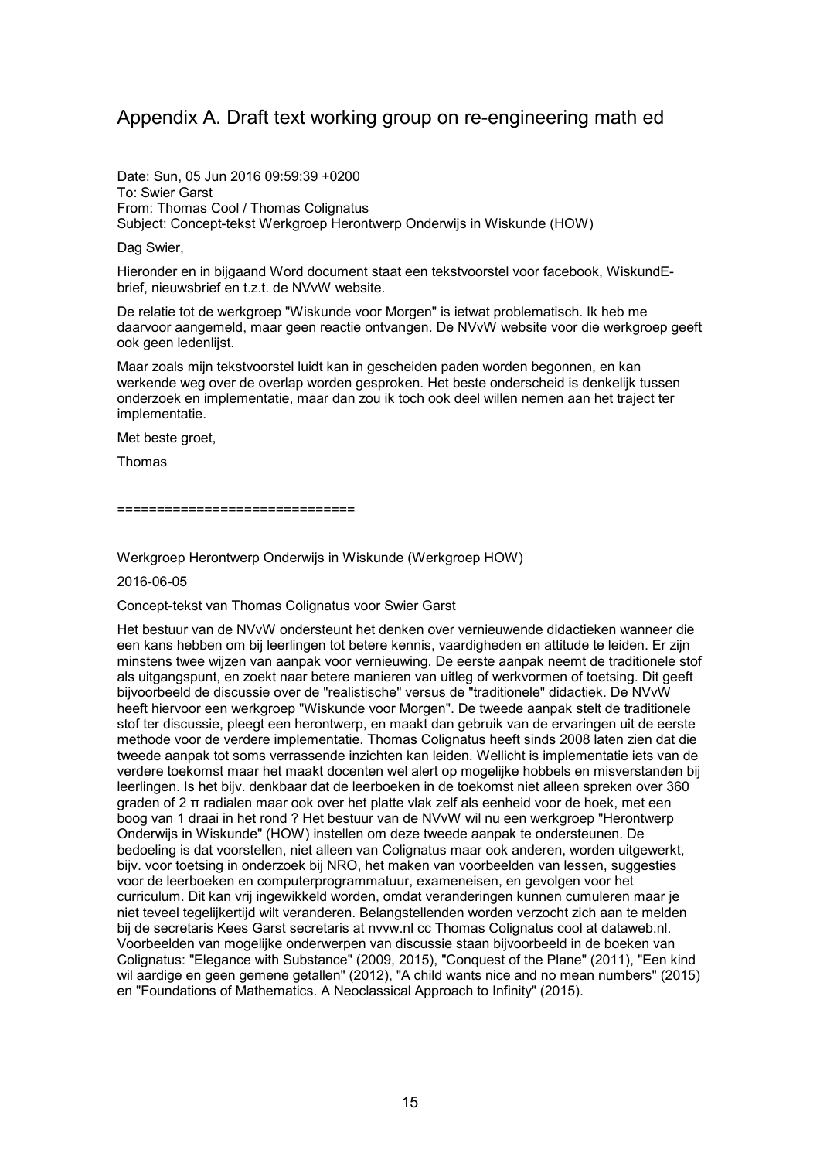# Appendix A. Draft text working group on re-engineering math ed

Date: Sun, 05 Jun 2016 09:59:39 +0200 To: Swier Garst From: Thomas Cool / Thomas Colignatus Subject: Concept-tekst Werkgroep Herontwerp Onderwijs in Wiskunde (HOW)

Dag Swier,

Hieronder en in bijgaand Word document staat een tekstvoorstel voor facebook, WiskundEbrief, nieuwsbrief en t.z.t. de NVvW website.

De relatie tot de werkgroep "Wiskunde voor Morgen" is ietwat problematisch. Ik heb me daarvoor aangemeld, maar geen reactie ontvangen. De NVvW website voor die werkgroep geeft ook geen ledenlijst.

Maar zoals mijn tekstvoorstel luidt kan in gescheiden paden worden begonnen, en kan werkende weg over de overlap worden gesproken. Het beste onderscheid is denkelijk tussen onderzoek en implementatie, maar dan zou ik toch ook deel willen nemen aan het traject ter implementatie.

Met beste groet,

Thomas

=================================

Werkgroep Herontwerp Onderwijs in Wiskunde (Werkgroep HOW)

2016-06-05

Concept-tekst van Thomas Colignatus voor Swier Garst

Het bestuur van de NVvW ondersteunt het denken over vernieuwende didactieken wanneer die een kans hebben om bij leerlingen tot betere kennis, vaardigheden en attitude te leiden. Er zijn minstens twee wijzen van aanpak voor vernieuwing. De eerste aanpak neemt de traditionele stof als uitgangspunt, en zoekt naar betere manieren van uitleg of werkvormen of toetsing. Dit geeft bijvoorbeeld de discussie over de "realistische" versus de "traditionele" didactiek. De NVvW heeft hiervoor een werkgroep "Wiskunde voor Morgen". De tweede aanpak stelt de traditionele stof ter discussie, pleegt een herontwerp, en maakt dan gebruik van de ervaringen uit de eerste methode voor de verdere implementatie. Thomas Colignatus heeft sinds 2008 laten zien dat die tweede aanpak tot soms verrassende inzichten kan leiden. Wellicht is implementatie iets van de verdere toekomst maar het maakt docenten wel alert op mogelijke hobbels en misverstanden bij leerlingen. Is het bijv. denkbaar dat de leerboeken in de toekomst niet alleen spreken over 360 graden of 2 π radialen maar ook over het platte vlak zelf als eenheid voor de hoek, met een boog van 1 draai in het rond ? Het bestuur van de NVvW wil nu een werkgroep "Herontwerp Onderwijs in Wiskunde" (HOW) instellen om deze tweede aanpak te ondersteunen. De bedoeling is dat voorstellen, niet alleen van Colignatus maar ook anderen, worden uitgewerkt, bijv. voor toetsing in onderzoek bij NRO, het maken van voorbeelden van lessen, suggesties voor de leerboeken en computerprogrammatuur, exameneisen, en gevolgen voor het curriculum. Dit kan vrij ingewikkeld worden, omdat veranderingen kunnen cumuleren maar je niet teveel tegelijkertijd wilt veranderen. Belangstellenden worden verzocht zich aan te melden bij de secretaris Kees Garst secretaris at nvvw.nl cc Thomas Colignatus cool at dataweb.nl. Voorbeelden van mogelijke onderwerpen van discussie staan bijvoorbeeld in de boeken van Colignatus: "Elegance with Substance" (2009, 2015), "Conquest of the Plane" (2011), "Een kind wil aardige en geen gemene getallen" (2012), "A child wants nice and no mean numbers" (2015) en "Foundations of Mathematics. A Neoclassical Approach to Infinity" (2015).